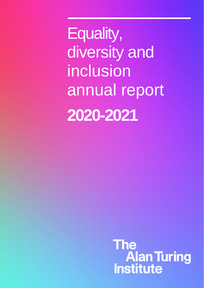Equality, diversity and inclusion annual report **2020-2021**

> **The Alan Turing<br>Institute**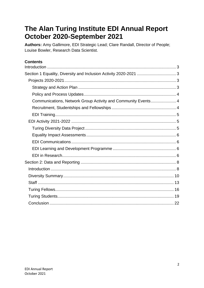# The Alan Turing Institute EDI Annual Report October 2020-September 2021

Authors: Amy Gallimore, EDI Strategic Lead; Clare Randall, Director of People; Louise Bowler, Research Data Scientist.

## **Contents**

| Communications, Network Group Activity and Community Events 4 |  |
|---------------------------------------------------------------|--|
|                                                               |  |
|                                                               |  |
|                                                               |  |
|                                                               |  |
|                                                               |  |
|                                                               |  |
|                                                               |  |
|                                                               |  |
|                                                               |  |
|                                                               |  |
|                                                               |  |
|                                                               |  |
|                                                               |  |
|                                                               |  |
|                                                               |  |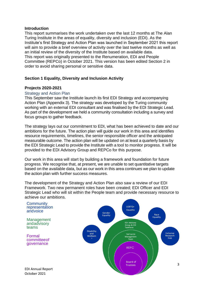#### <span id="page-2-0"></span>**Introduction**

This report summarises the work undertaken over the last 12 months at The Alan Turing Institute in the areas of equality, diversity and inclusion (EDI). As the Institute's first Strategy and Action Plan was launched in September 2021 this report will aim to provide a brief overview of activity over the last twelve months as well as an initial review of the diversity of the Institute based on available data. This report was originally presented to the Renumeration, EDI and People Committee (REPCo) in October 2021. This version has been edited Section 2 in order to avoid sharing personal or sensitive data.

### <span id="page-2-1"></span>**Section 1 Equality, Diversity and Inclusion Activity**

#### <span id="page-2-2"></span>**Projects 2020-2021**

#### <span id="page-2-3"></span>Strategy and Action Plan

This September saw the Institute launch its first EDI Strategy and accompanying Action Plan (Appendix 3). The strategy was developed by the Turing community working with an external EDI consultant and was finalised by the EDI Strategic Lead. As part of the development we held a community consultation including a survey and focus groups to gather feedback.

The strategy lays out our commitment to EDI, what has been achieved to date and our ambitions for the future. The action plan will guide our work in this area and identifies resource requirements, timelines, the senior responsible officer and the anticipated measurable outcome. The action plan will be updated on at least a quarterly basis by the EDI Strategic Lead to provide the Institute with a tool to monitor progress. It will be provided to the EDI Advisory Group and REPCo for this purpose.

Our work in this area will start by building a framework and foundation for future progress. We recognise that, at present, we are unable to set quantitative targets based on the available data, but as our work in this area continues we plan to update the action plan with further success measures.

The development of the Strategy and Action Plan also saw a review of our EDI Framework. Two new permanent roles have been created; EDI Officer and EDI Strategic Lead who will sit within the People team and provide necessary resource to achieve our ambitions.

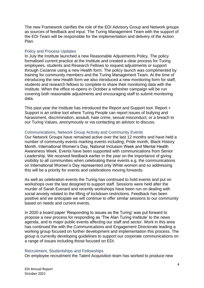The new Framework clarifies the role of the EDI Advisory Group and Network groups as sources of feedback and input. The Turing Management Team with the support of the EDI Team will be responsible for the implementation and delivery of the Action Plan.

#### <span id="page-3-0"></span>Policy and Process Updates

In July the Institute launched a new Reasonable Adjustments Policy. The policy formalised current practice at the Institute and created a clear process for Turing employees, students and Research Fellows to request adjustments or support through Cezanne using a new Health form. The policy launch was complimented by training for community members and the Turing Management Team. At the time of introducing the new Health form we also introduced a new monitoring form for staff, students and research fellows to complete to share their monitoring data with the Institute. When the office re-opens in October a refresher campaign will be run covering both reasonable adjustments and encouraging staff to submit monitoring data.

This past year the Institute has introduced the Report and Support tool. Report + Support is an online tool where Turing People can report issues of bullying and harassment, discrimination, assault, hate crime, sexual misconduct, or a breach to our Turing Values, anonymously or via contacting an advisor to discuss.

#### <span id="page-3-1"></span>Communications, Network Group Activity and Community Events

Our Network Groups have remained active over the last 12 months and have held a number of community events marking events including; Pride month, Black History Month, International Women's Day, National Inclusion Week and Mental Health Awareness Week. Events have been supported with communications from Senior Leadership. We received feedback earlier in the year on the importance of giving visibility to all communities when celebrating these events e.g. the communications on International Women's Day represented only White women and so addressing this will be a priority for events and celebrations moving forwards.

As well as celebration events the Turing has continued to hold events and put on workshops over the last designed to support staff. Sessions were held after the murder of Sarah Everard and recently workshops have been run on dealing with social anxiety related to the lifting of lockdown restrictions. Feedback has been positive and we anticipate we will continue to offer similar sessions to our community based on needs and current events.

In 2020 a board paper 'Responding to issues as the Turing' was put forward to propose a new process for responding as 'The Alan Turing Institute' to the news agenda, and to major public events affecting our staff and sector. Work in this area has continued the with the Communications and Engagement Directorate leading a working group focused on further development and implementation this process. The group is currently developing guidelines to support our corporate communications on a range of issues including those focused on EDI.

#### <span id="page-3-2"></span>Recruitment, Studentships and Fellowships

On employee recruitment the Talent Acquisition team has worked to produce new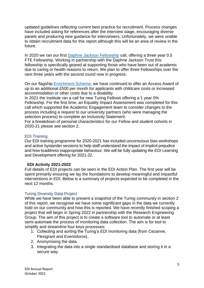updated guidelines reflecting current best practice for recruitment. Process changes have included asking for references after the interview stage, encouraging diverse panels and producing new guidance for interviewers. Unfortunately, we were unable to obtain recruitment data for this report although this will be an area of review in the future.

In 2020 we ran our first [Daphne Jackson Fellowship](https://daphnejackson.org/fellowships/the-alan-turing-institute/) call, offering a three year 0.5 FTE Fellowship. Working in partnership with the Daphne Jackson Trust this fellowship is specifically geared at supporting those who have been out of academic due to caring or health reasons to return. We plan to offer three Fellowships over the next three years with the second round now in progress.

On our flagship **Enrichment Scheme**, we have continued to offer an Access Award of up to an additional £500 per month for applicants with childcare costs or increased accommodation or other costs due to a disability.

In 2021 the Institute ran a call for new Turing Fellows offering a 1 year 0% Fellowship. For the first time, an Equality Impact Assessment was completed for this call which supported the Academic Engagement team to consider changes to the process including a request to our university partners (who were managing the selection process) to complete an Inclusivity Statement.

For a breakdown of personal characteristics for our Fellow and student cohorts in 2020-21 please see section 2.

#### <span id="page-4-0"></span>EDI Training

Our EDI training programme for 2020-2021 has included unconscious bias workshops and active bystander sessions to help staff understand the impact of implicit prejudice and how toaddress inappropriate behaviour. We will be fully updating the EDI Learning and Development offering for 2021-22.

#### <span id="page-4-1"></span>**EDI Activity 2021-2022**

Full details of EDI projects can be seen in the EDI Action Plan. The first year will be spent primarily ensuring we lay the foundations to develop meaningful and impactful interventions in EDI. Below is a summary of projects expected to be completed in the next 12 months.

#### <span id="page-4-2"></span>Turing Diversity Data Project

While we have been able to present a snapshot of the Turing community in section 2 of this report, we recognise we have some significant gaps in the data we currently hold on our community and how this is reported. We have recently finished scoping a project that will begin in Spring 2022 in partnership with the Research Engineering Group. The aim of this project is to create a software tool to automate or at least semi-automate the process of monitoring data collection. The aim is for tool to simplify and streamline four keys processes:

- 1. Collecting and sorting the Turing's EDI monitoring data (from Cezanne, Flexigrant and Eventsforce).
- 2. Anonymising the data.
- 3. Integrating the data into a single standardised database and storing it in a secure way.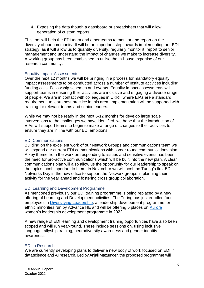4. Exposing the data though a dashboard or spreadsheet that will allow generation of custom reports.

This tool will help the EDI team and other teams to monitor and report on the diversity of our community. It will be an important step towards implementing our EDI strategy, as it will allow us to quantify diversity, regularly monitor it, report to senior management and understand the impact of changes we make to increase diversity. A working group has been established to utilise the in-house expertise of our research community.

#### <span id="page-5-0"></span>Equality Impact Assessments

Over the next 12 months we will be bringing in a process for mandatory equality impact assessments to be conducted across a number of Institute activities including funding calls, Fellowship schemes and events. Equality impact assessments will support teams in ensuring their activities are inclusive and engaging a diverse range of people. We are in contact with colleagues in UKRI, where EIAs are a standard requirement, to learn best practice in this area. Implementation will be supported with training for relevant teams and senior leaders.

While we may not be ready in the next 6-12 months for develop large scale interventions to the challenges we have identified, we hope that the introduction of EIAs will support teams to begin to make a range of changes to their activities to ensure they are in line with our EDI ambitions.

#### <span id="page-5-1"></span>EDI Communications

Building on the excellent work of our Network Groups and communications team we will expand our current EDI communications with a year round communications plan. A key theme from the work on responding to issues and sensitive events has been the need for pro-active communications which will be built into the new plan. A clear communications plan will also allow us the opportunity for our leadership to speak on the topics most important to them. In November we will host the Turing's first EDI Networks Day in the new office to support the Network groups in planning their activity for the year ahead and fostering cross group collaboration.

#### <span id="page-5-2"></span>EDI Learning and Development Programme

As mentioned previously our EDI training programme is being replaced by a new offering of Learning and Development activities. The Turing has just enrolled four employees in [Diversifying Leadership,](https://www.advance-he.ac.uk/programmes-events/development-programmes/new-to-leading/diversifying-leadership) a leadership development programme for ethnic minorities run by Advance HE and will be offering 5 places on [Aurora](https://www.advance-he.ac.uk/programmes-events/aurora) women's leadership development programme in 2022.

A new range of EDI learning and development training opportunities have also been scoped and will run year-round. These include sessions on, using inclusive language, allyship training, neurodiversity awareness and gender identity awareness.

#### <span id="page-5-3"></span>EDI in Research

We are currently developing plans to deliver a new body of work focused on EDI in datascience and AI research. Led by Anjali Mazumder, the proposed programme will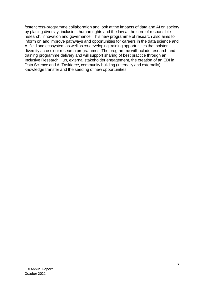foster cross-programme collaboration and look at the impacts of data and AI on society by placing diversity, inclusion, human rights and the law at the core of responsible research, innovation and governance. This new programme of research also aims to inform on and improve pathways and opportunities for careers in the data science and AI field and ecosystem as well as co-developing training opportunities that bolster diversity across our research programmes. The programme will include research and training programme delivery and will support sharing of best practice through an Inclusive Research Hub, external stakeholder engagement, the creation of an EDI in Data Science and AI Taskforce, community building (internally and externally), knowledge transfer and the seeding of new opportunities.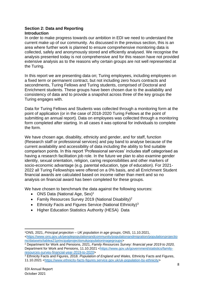#### <span id="page-7-1"></span><span id="page-7-0"></span>**Section 2: Data and Reporting Introduction**

In order to make progress towards our ambition in EDI we need to understand the current make up of our community. As discussed in the previous section, this is an area where further work is planned to ensure comprehensive monitoring data is collected, safely and anonymously stored and efficiently analysed. We recognise the analysis presented today is not comprehensive and for this reason have not provided extensive analysis as to the reasons why certain groups are not well represented at the Turing.

In this report we are presenting data on; Turing employees, including employees on a fixed term or permanent contract, but not including zero hours contracts and secondments, Turing Fellows and Turing students, comprised of Doctoral and Enrichment students. These groups have been chosen due to the availability and consistency of data and to provide a snapshot across three of the key groups the Turing engages with.

Data for Turing Fellows and Students was collected through a monitoring form at the point of application (or in the case of 2018-2020 Turing Fellows at the point of submitting an annual report). Data on employees was collected through a monitoring form completed after starting. In all cases it was optional for individuals to complete the form.

We have chosen age, disability, ethnicity and gender, and for staff, function (Research staff or professional services) and pay band to analyse because of the current availability and accessibility of data including the ability to find suitable comparison points. In this report 'Professional services' includes staff categorised as having a research facilitation job role. In the future we plan to also examine gender identity, sexual orientation, religion, caring responsibilities and other markers of socio-economic advantage (e.g. parental education, type of education). For 2021- 2022 all Turing Fellowships were offered on a 0% basis, and all Enrichment Student financial awards are calculated based on income rather than merit and so no analysis on financial award has been completed for these groups.

We have chosen to benchmark the data against the following sources:

- ONS Data (National Age,  $Sex)^1$
- Family Resources Survey 2019 (National Disability)<sup>2</sup>
- **•** Ethnicity Facts and Figures Service (National Ethnicity)<sup>3</sup>
- Higher Education Statistics Authority (HESA) Data

<sup>1</sup>ONS, 2021, *Principal projection – UK population in age groups*, ONS, 11.10.2021, [<https://www.ons.gov.uk/peoplepopulationandcommunity/populationandmigration/populationprojectio](https://www.ons.gov.uk/peoplepopulationandcommunity/populationandmigration/populationprojections/datasets/tablea21principalprojectionukpopulationinagegroups) [ns/datasets/tablea21principalprojectionukpopulationinagegroups>](https://www.ons.gov.uk/peoplepopulationandcommunity/populationandmigration/populationprojections/datasets/tablea21principalprojectionukpopulationinagegroups)

<sup>2</sup> Department for Work and Pensions, 2021, *Family Resources Survey: financial year 2019 to 2020,*  Department for Work and Pensions, 11.10.2021 [<https://www.gov.uk/government/statistics/family](https://www.gov.uk/government/statistics/family-resources-survey-financial-year-2019-to-2020)[resources-survey-financial-year-2019-to-2020>](https://www.gov.uk/government/statistics/family-resources-survey-financial-year-2019-to-2020)

<sup>3</sup> Ethnicity Facts and Figures, 2018. *Population of England and Wales,* Ethnicity Facts and Figures, 11.10.2021 [<https://www.ethnicity-facts-figures.service.gov.uk/uk-population-by-ethnicity>](https://www.ethnicity-facts-figures.service.gov.uk/uk-population-by-ethnicity)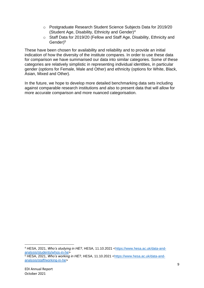- o Postgraduate Research Student Science Subjects Data for 2019/20 (Student Age, Disability, Ethnicity and Gender)<sup>4</sup>
- o Staff Data for 2019/20 (Fellow and Staff Age, Disability, Ethnicity and Gender)<sup>5</sup>

These have been chosen for availability and reliability and to provide an initial indication of how the diversity of the institute compares. In order to use these data for comparison we have summarised our data into similar categories. Some of these categories are relatively simplistic in representing individual identities, in particular gender (options for Female, Male and Other) and ethnicity (options for White, Black, Asian, Mixed and Other).

In the future, we hope to develop more detailed benchmarking data sets including against comparable research institutions and also to present data that will allow for more accurate comparison and more nuanced categorisation.

<sup>4</sup> HESA, 2021, *Who's studying in HE?*, HESA, 11.10.2021 [<https://www.hesa.ac.uk/data-and](https://www.hesa.ac.uk/data-and-analysis/students/whos-in-he)[analysis/students/whos-in-he>](https://www.hesa.ac.uk/data-and-analysis/students/whos-in-he)

<sup>5</sup> HESA, 2021, *Who's working in HE?*, HESA, 11.10.2021 [<https://www.hesa.ac.uk/data-and](https://www.hesa.ac.uk/data-and-analysis/staff/working-in-he)[analysis/staff/working-in-he>](https://www.hesa.ac.uk/data-and-analysis/staff/working-in-he)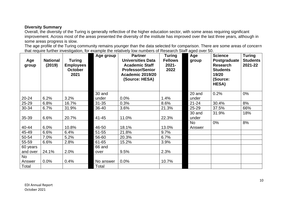## **Diversity Summary**

Overall, the diversity of the Turing is generally reflective of the higher education sector, with some areas requiring significant improvement. Across most of the areas presented the diversity of the institute has improved over the last three years, although in some areas progress is slow.

The age profile of the Turing community remains younger than the data selected for comparison. There are some areas of concern that require further investigation, for example the relatively low numbers of Research Staff aged over 50.

<span id="page-9-0"></span>

| Age<br>group        | <b>National</b><br>(2019) | <b>Turing</b><br><b>Employees</b><br><b>October</b><br>2021 | Age group | <b>Partner</b><br><b>Universities Data</b><br><b>Academic Staff</b><br><b>Professor/Senior</b><br>Academic 2019/20<br>(Source: HESA) | <b>Turing</b><br><b>Fellows</b><br>$2021 -$<br>2022 | Age<br>group        | <b>Science</b><br>Postgraduate<br><b>Research</b><br><b>Students</b><br>19/20<br>(Source:<br>HESA) | <b>Turing</b><br><b>Students</b><br>2021-22 |
|---------------------|---------------------------|-------------------------------------------------------------|-----------|--------------------------------------------------------------------------------------------------------------------------------------|-----------------------------------------------------|---------------------|----------------------------------------------------------------------------------------------------|---------------------------------------------|
|                     |                           |                                                             | 30 and    |                                                                                                                                      |                                                     | 20 and              | 0.2%                                                                                               | 0%                                          |
| $20 - 24$           | 6.2%                      | 3.2%                                                        | under     | 0.0%                                                                                                                                 | 1.4%                                                | under               |                                                                                                    |                                             |
| 25-29               | 6.8%                      | 16.7%                                                       | $31 - 35$ | 0.3%                                                                                                                                 | 8.6%                                                | $21 - 24$           | 30.4%                                                                                              | 8%                                          |
| 30-34               | 6.7%                      | 31.9%                                                       | 36-40     | 3.6%                                                                                                                                 | 21.3%                                               | 25-29               | 37.5%                                                                                              | 66%                                         |
| 35-39               | 6.6%                      | 20.7%                                                       | $41 - 45$ | 11.0%                                                                                                                                | 22.3%                                               | 30 and<br>under     | 31.9%                                                                                              | 18%                                         |
| 40-44               | 6.0%                      | 10.8%                                                       | 46-50     | 18.1%                                                                                                                                | 13.0%                                               | <b>No</b><br>Answer | 0%                                                                                                 | 8%                                          |
| 45-49               | 6.6%                      | 6.4%                                                        | $51 - 55$ | 21.8%                                                                                                                                | 9.7%                                                |                     |                                                                                                    |                                             |
| 50-54               | 7.0%                      | 5.2%                                                        | 56-60     | 20.3%                                                                                                                                | 6.7%                                                |                     |                                                                                                    |                                             |
| 55-59               | 6.6%                      | 2.8%                                                        | 61-65     | 15.2%                                                                                                                                | 3.9%                                                |                     |                                                                                                    |                                             |
| 60 years            |                           |                                                             | 66 and    |                                                                                                                                      |                                                     |                     |                                                                                                    |                                             |
| and over            | 24.1%                     | 2.0%                                                        | over      | 9.5%                                                                                                                                 | 2.3%                                                |                     |                                                                                                    |                                             |
| <b>No</b><br>Answer | 0.0%                      | 0.4%                                                        | No answer | 0.0%                                                                                                                                 | 10.7%                                               |                     |                                                                                                    |                                             |
| Total               |                           |                                                             | Total     |                                                                                                                                      |                                                     |                     |                                                                                                    |                                             |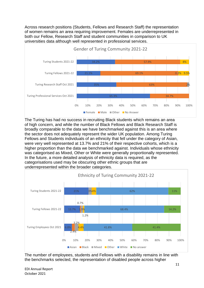Across research positions (Students, Fellows and Research Staff) the representation of women remains an area requiring improvement. Females are underrepresented in both our Fellow, Research Staff and student communities in comparison to UK universities data although well represented in professional services.



The Turing has had no success in recruiting Black students which remains an area of high concern, and while the number of Black Fellows and Black Research Staff is broadly comparable to the data we have benchmarked against this is an area where the sector does not adequately represent the wider UK population. Among Turing Fellows and Students individuals of an ethnicity that fell under the category of Asian, were very well represented at 13.7% and 21% of their respective cohorts, which is a higher proportion than the data we benchmarked against. Individuals whose ethnicity was categorised as Mixed, Other or White were generally proportionally represented. In the future, a more detailed analysis of ethnicity data is required, as the categorisations used may be obscuring other ethnic groups that are underrepresented within the broader categories.



The number of employees, students and Fellows with a disability remains in line with the benchmarks selected, the representation of disabled people across higher

EDI Annual Report October 2021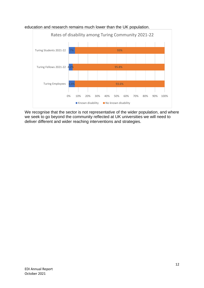

education and research remains much lower than the UK population.

We recognise that the sector is not representative of the wider population, and where we seek to go beyond the community reflected at UK universities we will need to deliver different and wider reaching interventions and strategies.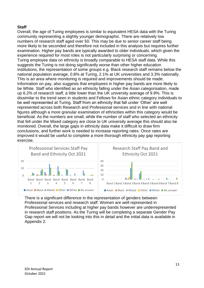## <span id="page-12-0"></span>**Staff**

Overall, the age of Turing employees is similar to equivalent HESA data with the Turing community representing a slightly younger demographic. There are relatively low numbers of research staff aged over 50. This may be due to senior career staff being more likely to be seconded and therefore not included in this analysis but requires further examination. Higher pay bands are typically awarded to older individuals, which given the experience required for most roles is not particularly surprising or concerning. Turing employee data on ethnicity is broadly comparable to HESA staff data. While this suggests the Turing is not doing significantly worse than other higher education institutions, the representation of some groups e.g. Black research staff remains below the national population average, 0.8% at Turing, 2.1% at UK universities and 3.3% nationally. This is an area where monitoring is required and improvements should be made. Information on pay, also suggests that employees in higher pay bands are more likely to be White. Staff who identified as an ethnicity falling under the Asian categorisation, made up 6.2% of research staff, a little lower than the UK university average of 9.9%. This is dissimilar to the trend seen in students and Fellows for Asian ethnic category individuals to be well represented at Turing. Staff from an ethnicity that fall under 'Other' are well represented across both Research and Professional services and in line with national figures although a more granular examination of ethnicities within this category would be beneficial. As the numbers are small, while the number of staff who selected an ethnicity that fell under the Mixed category are close to UK university average this should also be monitored. Overall, the large gaps in ethnicity data make it difficult to draw firm conclusions, and further work is needed to increase reporting rates. Once rates are improved it would be useful to complete a more thorough ethnicity pay gap reporting exercise.



There is a significant difference in the representation of genders between Professional services and research staff. Women are well represented in Professional Services including at higher pay bands however are underrepresented in research staff positions. As the Turing will be completing a separate Gender Pay Gap report we will not be looking into this in detail and the initial data is available in Appendix 2.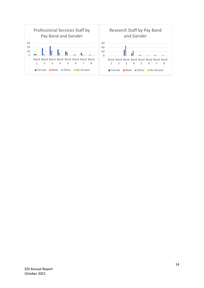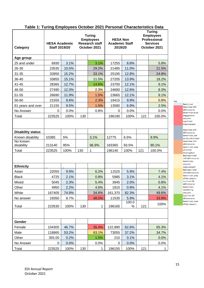| Category                 | <b>Turing</b><br><b>Employees</b><br><b>Research staff</b><br><b>HESA Academic</b><br>October 2021<br><b>Staff 2019/20</b> |       | <b>HESA Non</b><br><b>Academic Staff</b><br>2019/20 |              | <b>Turing</b><br><b>Employees</b><br>Professional<br><b>Services</b><br>October 2021 |            |     |        |
|--------------------------|----------------------------------------------------------------------------------------------------------------------------|-------|-----------------------------------------------------|--------------|--------------------------------------------------------------------------------------|------------|-----|--------|
| Age group                |                                                                                                                            |       |                                                     |              |                                                                                      |            |     |        |
| 25 and under             | 6930                                                                                                                       | 3.1%  |                                                     | 3.1%         | 17255                                                                                | 8.8%       |     | 5.8%   |
| 26-30                    | 23535                                                                                                                      | 10.5% |                                                     | 29.2%        | 21485                                                                                | 11.0%      |     | 21.5%  |
| $31 - 35$                | 33950                                                                                                                      | 15.2% |                                                     | 33.1%        | 25195                                                                                | 12.8%      |     | 24.8%  |
| 36-40                    | 33855                                                                                                                      | 15.1% |                                                     | 11.5%        | 27205                                                                                | 13.9%      |     | 18.2%  |
| 41-45                    | 28365                                                                                                                      | 12.7% |                                                     | 14.6%        | 23700                                                                                | 12.1%      |     | 9.1%   |
| 46-50                    | 27490                                                                                                                      | 12.3% |                                                     | 2.3%         | 24690                                                                                | 12.6%      |     | 8.3%   |
| 51-55                    | 26690                                                                                                                      | 11.9% |                                                     | 1.5%         | 23665                                                                                | 12.1%      |     | 9.1%   |
| 56-60                    | 21555                                                                                                                      | 9.6%  |                                                     | 2.3%         | 19415                                                                                | 9.9%       |     | 0.8%   |
| 61 years and over        | 21155                                                                                                                      | 9.5%  |                                                     | 1.5%         | 13580                                                                                | 6.9%       |     | 2.5%   |
| No Answer                | 0                                                                                                                          | 0.0%  |                                                     | 0.8%         | 0                                                                                    | 0.0%       |     | 0.0%   |
| Total                    | 223525                                                                                                                     | 100%  | 130                                                 |              | 196190                                                                               | 100%       | 121 | 100.0% |
|                          |                                                                                                                            |       |                                                     |              |                                                                                      |            |     |        |
| <b>Disability status</b> |                                                                                                                            |       |                                                     |              |                                                                                      |            |     |        |
| Known disability         | 10385                                                                                                                      | 5%    |                                                     | 3.1%         | 12775                                                                                | 6.5%       |     | 9.9%   |
| No known<br>disability   | 213140                                                                                                                     | 95%   |                                                     | 96.9%        | 183365                                                                               | 93.5%      |     | 90.1%  |
| Total                    | 223525                                                                                                                     | 100%  | 130                                                 | $\mathbf{1}$ | 196140                                                                               | 100%       | 121 | 100.0% |
|                          |                                                                                                                            |       |                                                     |              |                                                                                      |            |     |        |
| <b>Ethnicity</b>         |                                                                                                                            |       |                                                     |              |                                                                                      |            |     |        |
| Asian                    | 22055                                                                                                                      | 9.9%  |                                                     | 6.2%         | 11525                                                                                | 5.9%       |     | 7.4%   |
| <b>Black</b>             | 4725                                                                                                                       | 2.1%  |                                                     | 0.8%         | 5985                                                                                 | 3.1%       |     | 4.1%   |
| Mixed                    | 5045                                                                                                                       | 2.3%  |                                                     | 5.4%         | 3945                                                                                 | 2.0%       |     | 0.8%   |
| Other                    | 4950                                                                                                                       | 2.2%  |                                                     | 4.6%         | 1810                                                                                 | 0.9%       |     | 4.1%   |
| White                    | 167405                                                                                                                     | 74.9% |                                                     | 34.6%        | 161,370                                                                              | 82.3%      |     | 49.6%  |
| No answer                | 19350                                                                                                                      | 8.7%  |                                                     | 48.5%        | 11530                                                                                | 5.9%       |     | 33.9%  |
| Total                    | 223530                                                                                                                     | 100%  | 130                                                 |              | 196165                                                                               | 100.0<br>% | 121 | 100%   |
|                          |                                                                                                                            |       |                                                     | 1            |                                                                                      |            |     |        |
| Gender                   |                                                                                                                            |       |                                                     |              |                                                                                      |            |     |        |
| Female                   | 104305                                                                                                                     | 46.7% |                                                     | 35.4%        | 122,890                                                                              | 62.6%      |     | 65.3%  |
| Male                     | 118865                                                                                                                     | 53.2% |                                                     | 63.1%        | 73055                                                                                | 37.2%      |     | 34.7%  |
| Other                    | 355.00                                                                                                                     | 0.2%  |                                                     | 1.5%         | 210                                                                                  | 0.1%       |     | 0.0%   |
| No Answer                | 0                                                                                                                          | 0.0%  |                                                     | 0.0%         | 0                                                                                    | 0.0%       |     | 0.0%   |
| Total                    | 223525                                                                                                                     | 100%  | 130                                                 | 1            | 196155                                                                               | 100%       | 121 | 1      |

## **Table 1: Turing Employees October 2021 Personal Characteristics Data**

<span id="page-14-0"></span>difference to benchmark or no engagement, requires significant improvement More than 10% difference to benchmark, not an area of concern More than 10% difference to benchmark, area of further investigation Between 5 and 10% difference to benchmark, requires improvement Between 5 and 10% difference to benchmark, area of low concern Less than 5% difference to benchmark, monitoring required Less than 2% difference to benchmark, area of low concern

Key

Benchmark More than 10%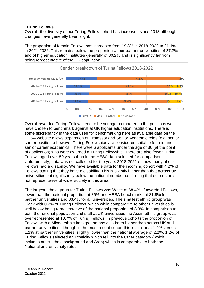## **Turing Fellows**

Overall, the diversity of our Turing Fellow cohort has increased since 2018 although changes have generally been slight.

The proportion of female Fellows has increased from 19.3% in 2018-2020 to 21.1% in 2021-2022. This remains below the proportion at our partner universities of 27.2% and of higher education institutes generally of 30.2% and is significantly far from being representative of the UK population.



Overall awarded Turing Fellows tend to be younger compared to the positions we have chosen to benchmark against at UK higher education institutions. There is some discrepancy in the data used for benchmarking here as available data on the HESA website allows separation of Professor and Senior Academic roles (e.g. senior career positions) however Turing Fellowships are considered suitable for mid and senior career academics. There were 6 applicants under the age of 30 (at the point of application) who were awarded a Turing Fellowship. There are also fewer Turing Fellows aged over 50 years than in the HESA data selected for comparison. Unfortunately, data was not collected for the years 2018-2021 on how many of our Fellows had a disability. We have available data for the incoming cohort with 4.2% of Fellows stating that they have a disability. This is slightly higher than that across UK universities but significantly below the national number confirming that our sector is not representative of wider society in this area.

The largest ethnic group for Turing Fellows was White at 68.4% of awarded Fellows, lower than the national proportion at 86% and HESA benchmarks at 81.9% for partner universities and 83.4% for all universities. The smallest ethnic group was Black with 0.7% of Turing Fellows, which while comparative to other universities is well below being representative of the national proportion of 3.3%. In comparison to both the national population and staff at UK universities the Asian ethnic group was overrepresented at 13.7% of Turing Fellows. In previous cohorts the proportion of Fellows with a Mixed ethnic background has also been higher than across UK and partner universities although in the most recent cohort this is similar at 1.9% versus 1.1% at partner universities, slightly lower than the national average of 2.2%. 1.2% of Turing Fellows selected an Ethnicity which fell into the Other category (which includes other ethnic background and Arab) which is comparable to both the National and university rates.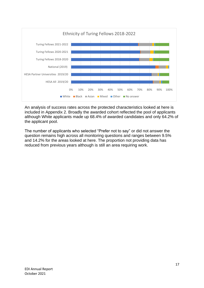

An analysis of success rates across the protected characteristics looked at here is included in Appendix 2. Broadly the awarded cohort reflected the pool of applicants although White applicants made up 68.4% of awarded candidates and only 64.2% of the applicant pool.

The number of applicants who selected "Prefer not to say" or did not answer the question remains high across all monitoring questions and ranges between 9.5% and 14.2% for the areas looked at here. The proportion not providing data has reduced from previous years although is still an area requiring work.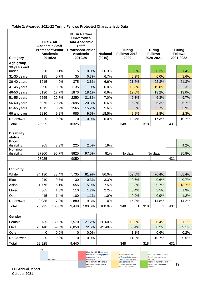#### **Table 2: Awarded 2021-22 Turing Fellows Protected Characteristic Data**

| Category                    | <b>HESA AII</b><br><b>Academic Staff</b><br><b>Professor/Senior</b><br><b>Academic</b><br>2019/20 |        | <b>HESA Partner</b><br><b>Universities</b><br>Data Academic<br><b>Staff</b><br><b>Professor/Senior</b><br><b>Academic</b><br>2019/20 |        | <b>National</b><br>(2019) | <b>Turing</b><br>Fellows 2018-<br>2020 |       | <b>Turing</b><br><b>Fellows</b><br>2020-2021 |         | <b>Turing</b><br><b>Fellows</b><br>2021-2022 |       |
|-----------------------------|---------------------------------------------------------------------------------------------------|--------|--------------------------------------------------------------------------------------------------------------------------------------|--------|---------------------------|----------------------------------------|-------|----------------------------------------------|---------|----------------------------------------------|-------|
| Age group                   |                                                                                                   |        |                                                                                                                                      |        |                           |                                        |       |                                              |         |                                              |       |
| 30 years and                |                                                                                                   |        |                                                                                                                                      |        |                           |                                        |       |                                              |         |                                              |       |
| under                       | 20                                                                                                | 0.1%   | 5                                                                                                                                    | 0.0%   | 36.3%                     |                                        | 0.3%  |                                              | 0.3%    |                                              | 1.4%  |
| 31-35 years                 | 195                                                                                               | 0.7%   | 35                                                                                                                                   | 0.3%   | 6.7%                      |                                        | 6.3%  |                                              | 6.0%    |                                              | 8.6%  |
| 36-40 years                 | 1215                                                                                              | 4.2%   | 375                                                                                                                                  | 3.6%   | 6.6%                      |                                        | 21.6% |                                              | 22.3%   |                                              | 21.3% |
| 41-45 years                 | 2990                                                                                              | 10.3%  | 1135                                                                                                                                 | 11.0%  | 6.0%                      |                                        | 19.8% |                                              | 19.8%   |                                              | 22.3% |
| 46-50 years                 | 5130                                                                                              | 17.7%  | 1870                                                                                                                                 | 18.1%  | 6.6%                      |                                        | 12.6% |                                              | 13.2%   |                                              | 13.0% |
| 51-55 years                 | 6555                                                                                              | 22.7%  | 2250                                                                                                                                 | 21.8%  | 7.0%                      |                                        | 6.3%  |                                              | 6.3%    |                                              | 9.7%  |
| 56-60 years                 | 5975                                                                                              | 20.7%  | 2095                                                                                                                                 | 20.3%  | 6.6%                      |                                        | 6.3%  |                                              | 6.3%    |                                              | 6.7%  |
| 61-65 years                 | 4015                                                                                              | 13.9%  | 1565                                                                                                                                 | 15.2%  | 5.6%                      |                                        | 5.5%  |                                              | 5.7%    |                                              | 3.9%  |
| 66 and over                 | 2830                                                                                              | 9.8%   | 985                                                                                                                                  | 9.5%   | 18.5%                     |                                        | 2.9%  |                                              | 2.8%    |                                              | 2.3%  |
| No answer                   | 0                                                                                                 | 0.0%   | 0                                                                                                                                    | 0.0%   | 0.0%                      |                                        | 18.4% |                                              | 17.3%   |                                              | 10.7% |
| Total                       | 28925                                                                                             |        | 10325                                                                                                                                |        |                           | 348                                    |       | 318                                          |         | 431                                          |       |
| <b>Disability</b><br>status |                                                                                                   |        |                                                                                                                                      |        |                           |                                        |       |                                              |         |                                              |       |
| Known<br>disability         | 965                                                                                               | 3.3%   | 225                                                                                                                                  | 2.5%   | 19%                       |                                        |       |                                              |         |                                              | 4.2%  |
| No known<br>disability      | 27960                                                                                             | 96.7%  | 8825                                                                                                                                 | 97.5%  | 81%                       | No data                                |       |                                              | No data |                                              | 95.8% |
|                             | 28925                                                                                             |        | 9050                                                                                                                                 |        |                           |                                        |       |                                              |         | 431                                          |       |
| <b>Ethnicity</b>            |                                                                                                   |        |                                                                                                                                      |        |                           |                                        |       |                                              |         |                                              |       |
| White                       | 24,130                                                                                            | 83.4%  | 7,735                                                                                                                                | 81.9%  | 86.0%                     |                                        | 69.5% |                                              | 70.4%   |                                              | 68.4% |
| <b>Black</b>                | 210                                                                                               | 0.7%   | 30                                                                                                                                   | 0.3%   | 3.3%                      |                                        | 0.6%  |                                              | 0.6%    |                                              | 0.7%  |
| Asian                       | 1,775                                                                                             | 6.1%   | 555                                                                                                                                  | 5.9%   | 7.5%                      |                                        | 9.8%  |                                              | 9.7%    |                                              | 13.7% |
| Mixed                       | 365                                                                                               | 1.3%   | 110                                                                                                                                  | 1.2%   | 2.2%                      |                                        | 3.4%  |                                              | 3.5%    |                                              | 1.9%  |
| Other                       | 415                                                                                               | 1.4%   | 100                                                                                                                                  | 1.1%   | 1.0%                      |                                        | 0.9%  |                                              | 0.9%    |                                              | 1.2%  |
| No answer                   | 2,035                                                                                             | 7.0%   | 880                                                                                                                                  | 9.3%   | 0%                        |                                        | 15.8% |                                              | 14.8%   |                                              | 14.2% |
| Total                       | 28,925                                                                                            | 100.0% | 9,440                                                                                                                                | 100.0% | 100.0%                    | 348                                    | 1     | 318                                          | 1.      | 431                                          | 1     |
| Gender                      |                                                                                                   |        |                                                                                                                                      |        |                           |                                        |       |                                              |         |                                              |       |
| Female                      | 8,735                                                                                             | 30.2%  | 2,570                                                                                                                                | 27.2%  | 50.60%                    |                                        | 19.3% |                                              | 20.4%   |                                              | 21.1% |
| Male                        | 20,140                                                                                            | 69.6%  | 6,850                                                                                                                                | 72.6%  | 49.40%                    |                                        | 68.4% |                                              | 68.2%   |                                              | 69.1% |
| Other                       | 0                                                                                                 | 0.0%   | 0                                                                                                                                    | 0.0%   |                           |                                        | 1.1%  |                                              | 0.6%    |                                              | 0.2%  |
| No Answer                   | 0                                                                                                 | 0.0%   | 0                                                                                                                                    | 0.0%   |                           |                                        | 11.2% |                                              | 10.7%   |                                              | 9.5%  |
| Total                       | 28,925                                                                                            |        | 9,440                                                                                                                                |        |                           | 348                                    |       | 318                                          |         | 431                                          |       |
|                             | Key                                                                                               |        |                                                                                                                                      |        |                           |                                        |       |                                              |         |                                              |       |

| .     |                  |                             |                          |                            |    |
|-------|------------------|-----------------------------|--------------------------|----------------------------|----|
|       |                  | More than 10% difference to |                          |                            |    |
|       |                  | benchmark or no engagement, | Between 5 and 10%        | Less than 5% difference to |    |
|       |                  | requires significant        | difference to benchmark. | benchmark, monitoring      |    |
|       | <b>Benchmark</b> | improvement                 | requires improvement     | required                   |    |
|       |                  | More than 10% difference to | Between 5 and 10%        | Less than 2% difference to |    |
|       |                  | benchmark, not an area of   | difference to benchmark. | benchmark, area of low     | 18 |
|       |                  | concern                     | area of low concern      | concern                    |    |
| ∍n∩rt |                  |                             |                          |                            |    |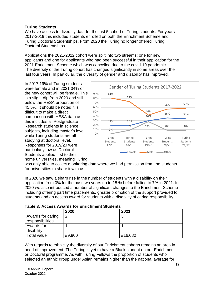## <span id="page-18-0"></span>**Turing Students**

We have access to diversity data for the last 5 cohort of Turing students. For years 2017-2019 this included students enrolled on both the Enrichment Scheme and Turing Doctoral Studentships. From 2020 the Turing no longer offered Turing Doctoral Studentships.

Applications the 2021-2022 cohort were split into two streams; one for new applicants and one for applicants who had been successful in their application for the 2021 Enrichment Scheme which was cancelled due to the covid-19 pandemic. The diversity of the Turing cohort has changed significantly in some areas over the last four years. In particular, the diversity of gender and disability has improved.

In 2017 19% of Turing students were female and in 2021 34% of the new cohort will be female. This is a slight dip from 2020 and still below the HESA proportion of 45.5%. It should be noted it is difficult to make a direct comparison with HESA data as this includes all Postgraduate Research students in science subjects, including master's level while Turing students are all studying at doctoral level. Responses for 2019/20 were particularly low as Doctoral Students applied first to their home universities, meaning Turing



was only able to collect monitoring data where we had permission from the students for universities to share it with us.

In 2020 we saw a sharp rise in the number of students with a disability on their application from 0% for the past two years up to 18 % before falling to 7% in 2021. In 2020 we also introduced a number of significant changes to the Enrichment Scheme including offering part time placements, greater promotion of the support provided to students and an access award for students with a disability of caring responsibility.

|                                       | 2020   | 2021    |
|---------------------------------------|--------|---------|
| Awards for caring<br>responsibilities | ാ      | 3       |
| Awards for                            |        |         |
| disability                            |        |         |
| Total value                           | £9,900 | £16,080 |

With regards to ethnicity the diversity of our Enrichment cohorts remains an area in need of improvement. The Turing is yet to have a Black student on our Enrichment or Doctoral programme. As with Turing Fellows the proportion of students who selected an ethnic group under Asian remains higher than the national average for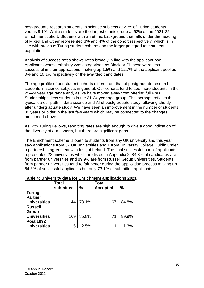postgraduate research students in science subjects at 21% of Turing students versus 9.1%. White students are the largest ethnic group at 62% of the 2021-22 Enrichment cohort. Students with an ethnic background that falls under the heading of Mixed and Other represented 3% and 4% of the cohort respectively, which is in line with previous Turing student cohorts and the larger postgraduate student population.

Analysis of success rates shows rates broadly in line with the applicant pool. Applicants whose ethnicity was categorised as Black or Chinese were less successful in their applications, making up 1.5% and 12.7% of the applicant pool but 0% and 10.1% respectively of the awarded candidates.

The age profile of our student cohorts differs from that of postgraduate research students in science subjects in general. Our cohorts tend to see more students in the 25–29 year age range and, as we have moved away from offering full PhD Studentships, less students in the 21-24 year age group. This perhaps reflects the typical career path in data science and AI of postgraduate study following shortly after undergraduate study. We have seen an improvement in the number of students 30 years or older in the last few years which may be connected to the changes mentioned above.

As with Turing Fellows, reporting rates are high enough to give a good indication of the diversity of our cohorts, but there are significant gaps.

The Enrichment scheme is open to students from any UK university and this year saw applications from 37 UK universities and 1 from University College Dublin under a partnership agreement with Insight Ireland. The final successful pool of applicants represented 22 universities which are listed in Appendix 2. 84.8% of candidates are from partner universities and 89.9% are from Russell Group universities. Students from partner universities tend to fair better during the application process making up 84.8% of successful applicants but only 73.1% of submitted applicants.

|                     | <b>Total</b><br>submitted | %     | <b>Total</b><br><b>Accepted</b> | $\frac{0}{0}$ |
|---------------------|---------------------------|-------|---------------------------------|---------------|
| <b>Turing</b>       |                           |       |                                 |               |
| <b>Partner</b>      |                           |       |                                 |               |
| <b>Universities</b> | 144                       | 73.1% | 67                              | 84.8%         |
| <b>Russell</b>      |                           |       |                                 |               |
| <b>Group</b>        |                           |       |                                 |               |
| <b>Universities</b> | 169                       | 85.8% | 71                              | 89.9%         |
| <b>Post 1992</b>    |                           |       |                                 |               |
| <b>Universities</b> | 5                         | 2.5%  | 1                               | 1.3%          |

**Table 4: University data for Enrichment applications 2021**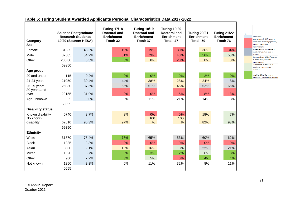| Category                 |        | <b>Science Postgraduate</b><br><b>Research Students</b><br>19/20 (Source: HESA) | <b>Turing 17/18</b><br><b>Doctoral and</b><br><b>Enrichment</b><br>Total: 32 | <b>Turing 18/19</b><br><b>Doctoral and</b><br><b>Enrichment</b><br>Total: 37 | Turing 19/20<br><b>Doctoral and</b><br><b>Enrichment</b><br>Total: 47 | Turing 20/21<br><b>Enrichment</b><br>Total: 50 | <b>Turing 21/22</b><br><b>Enrichment</b><br>Total: 76 | Key<br><b>Benchmark</b><br>More than 10% difference to<br>benchmark or no engagement, |
|--------------------------|--------|---------------------------------------------------------------------------------|------------------------------------------------------------------------------|------------------------------------------------------------------------------|-----------------------------------------------------------------------|------------------------------------------------|-------------------------------------------------------|---------------------------------------------------------------------------------------|
| <b>Sex</b>               |        |                                                                                 |                                                                              |                                                                              |                                                                       |                                                |                                                       | requires significant<br>improvement                                                   |
| Female                   | 31535  | 45.5%                                                                           | 19%                                                                          | 19%                                                                          | 30%                                                                   | 36%                                            | 34%                                                   | More than 10% difference to<br>benchmark, not an area of                              |
| Male                     | 37585  | 54.2%                                                                           | 81%                                                                          | 73%                                                                          | 43%                                                                   | 56%                                            | 58%                                                   | concern<br>Between 5 and 10% difference                                               |
| Other                    | 230.00 | 0.3%                                                                            | 0%                                                                           | 8%                                                                           | 28%                                                                   | 8%                                             | 8%                                                    | to benchmark, requires<br>improvement                                                 |
|                          | 69350  |                                                                                 |                                                                              |                                                                              |                                                                       |                                                |                                                       | Less than 5% difference to<br>benchmark, monitoring                                   |
| Age group                |        |                                                                                 |                                                                              |                                                                              |                                                                       |                                                |                                                       | required                                                                              |
| 20 and under             | 115    | 0.2%                                                                            | 0%                                                                           | 0%                                                                           | 0%                                                                    | 2%                                             | 0%                                                    | Less than 2% difference to<br>benchmark, area of low concern                          |
| 21-24 years              | 21050  | 30.4%                                                                           | 44%                                                                          | 38%                                                                          | 28%                                                                   | 24%                                            | 8%                                                    |                                                                                       |
| 25-29 years              | 26030  | 37.5%                                                                           | 56%                                                                          | 51%                                                                          | 45%                                                                   | 52%                                            | 66%                                                   |                                                                                       |
| 30 years and             |        |                                                                                 |                                                                              |                                                                              |                                                                       |                                                |                                                       |                                                                                       |
| over                     | 22155  | 31.9%                                                                           | 0%                                                                           | 0%                                                                           | 6%                                                                    | 8%                                             | 18%                                                   |                                                                                       |
| Age unknown              | 5      | 0.0%                                                                            | 0%                                                                           | 11%                                                                          | 21%                                                                   | 14%                                            | 8%                                                    |                                                                                       |
|                          | 69355  |                                                                                 |                                                                              |                                                                              |                                                                       |                                                |                                                       |                                                                                       |
| <b>Disability status</b> |        |                                                                                 |                                                                              |                                                                              |                                                                       |                                                |                                                       |                                                                                       |
| Known disability         | 6740   | 9.7%                                                                            | 3%                                                                           | 0%                                                                           | 0%                                                                    | 18%                                            | 7%                                                    |                                                                                       |
| No known                 |        |                                                                                 |                                                                              | 100                                                                          | 100                                                                   |                                                |                                                       |                                                                                       |
| disability               | 62610  | 90.3%                                                                           | 97%                                                                          | %                                                                            | $\%$                                                                  | 82%                                            | 93%                                                   |                                                                                       |
|                          | 69350  |                                                                                 |                                                                              |                                                                              |                                                                       |                                                |                                                       |                                                                                       |
| <b>Ethnicity</b>         |        |                                                                                 |                                                                              |                                                                              |                                                                       |                                                |                                                       |                                                                                       |
| White                    | 31870  | 78.4%                                                                           | 78%                                                                          | 65%                                                                          | 53%                                                                   | 60%                                            | 62%                                                   |                                                                                       |
| <b>Black</b>             | 1335   | 3.3%                                                                            | 0%                                                                           | 0%                                                                           | 0%                                                                    | 0%                                             | 0%                                                    |                                                                                       |
| Asian                    | 3680   | 9.1%                                                                            | 16%                                                                          | 16%                                                                          | 13%                                                                   | 22%                                            | 21%                                                   |                                                                                       |
| Mixed                    | 1520   | 3.7%                                                                            | 3%                                                                           | 3%                                                                           | 2%                                                                    | 6%                                             | 3%                                                    |                                                                                       |
| Other                    | 900    | 2.2%                                                                            | 3%                                                                           | 5%                                                                           | 0%                                                                    | 4%                                             | 4%                                                    |                                                                                       |
| Not known                | 1350   | 3.3%                                                                            | 0%                                                                           | 11%                                                                          | 32%                                                                   | 8%                                             | 11%                                                   |                                                                                       |
|                          | 40655  |                                                                                 |                                                                              |                                                                              |                                                                       |                                                |                                                       |                                                                                       |

## **Table 5: Turing Student Awarded Applicants Personal Characteristics Data 2017-2022**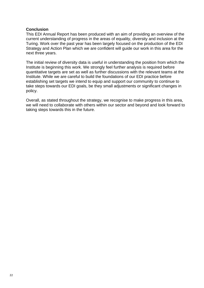#### <span id="page-21-0"></span>**Conclusion**

This EDI Annual Report has been produced with an aim of providing an overview of the current understanding of progress in the areas of equality, diversity and inclusion at the Turing. Work over the past year has been largely focused on the production of the EDI Strategy and Action Plan which we are confident will guide our work in this area for the next three years.

The initial review of diversity data is useful in understanding the position from which the Institute is beginning this work. We strongly feel further analysis is required before quantitative targets are set as well as further discussions with the relevant teams at the Institute. While we are careful to build the foundations of our EDI practice before establishing set targets we intend to equip and support our community to continue to take steps towards our EDI goals, be they small adjustments or significant changes in policy.

Overall, as stated throughout the strategy, we recognise to make progress in this area, we will need to collaborate with others within our sector and beyond and look forward to taking steps towards this in the future.